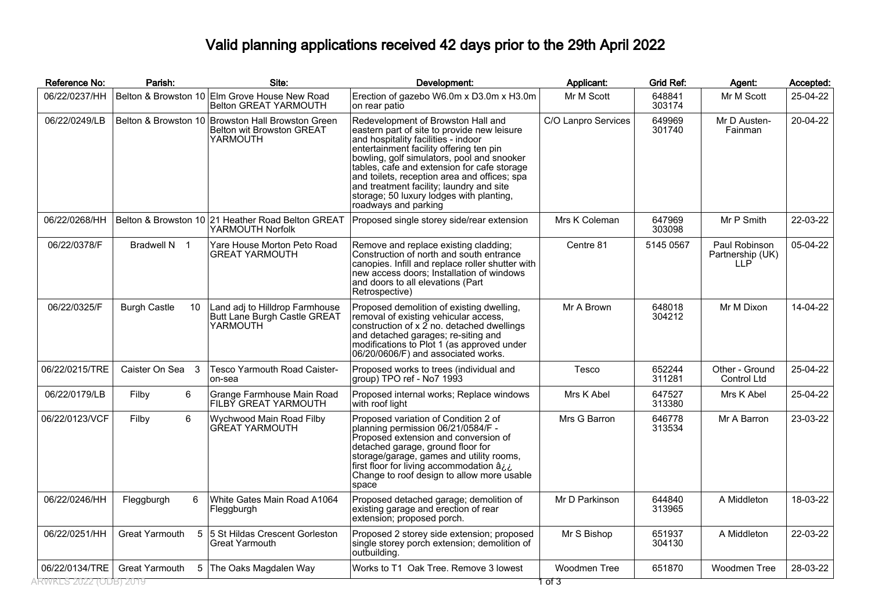## Valid planning applications received 42 days prior to the 29th April 2022

| Reference No:         | Parish:                   | Site:                                                                                      | Development:                                                                                                                                                                                                                                                                                                                                                                                                                     | Applicant:          | Grid Ref:        | Agent:                                   | Accepted: |
|-----------------------|---------------------------|--------------------------------------------------------------------------------------------|----------------------------------------------------------------------------------------------------------------------------------------------------------------------------------------------------------------------------------------------------------------------------------------------------------------------------------------------------------------------------------------------------------------------------------|---------------------|------------------|------------------------------------------|-----------|
| 06/22/0237/HH         |                           | Belton & Browston 10 Elm Grove House New Road<br><b>Belton GREAT YARMOUTH</b>              | Erection of gazebo W6.0m x D3.0m x H3.0m<br>on rear patio                                                                                                                                                                                                                                                                                                                                                                        | Mr M Scott          | 648841<br>303174 | Mr M Scott                               | 25-04-22  |
| 06/22/0249/LB         |                           | Belton & Browston 10 Browston Hall Browston Green<br>Belton wit Browston GREAT<br>YARMOUTH | Redevelopment of Browston Hall and<br>eastern part of site to provide new leisure<br>and hospitality facilities - indoor<br>entertainment facility offering ten pin<br>bowling, golf simulators, pool and snooker<br>tables, cafe and extension for cafe storage<br>and toilets, reception area and offices; spa<br>and treatment facility; laundry and site<br>storage; 50 luxury lodges with planting,<br>roadways and parking | C/O Lanpro Services | 649969<br>301740 | Mr D Austen-<br>Fainman                  | 20-04-22  |
| 06/22/0268/HH         |                           | Belton & Browston 10 21 Heather Road Belton GREAT<br>YARMOUTH Norfolk                      | Proposed single storey side/rear extension                                                                                                                                                                                                                                                                                                                                                                                       | Mrs K Coleman       | 647969<br>303098 | Mr P Smith                               | 22-03-22  |
| 06/22/0378/F          | Bradwell N 1              | Yare House Morton Peto Road<br><b>GREAT YARMOUTH</b>                                       | Remove and replace existing cladding:<br>Construction of north and south entrance<br>canopies. Infill and replace roller shutter with<br>new access doors; Installation of windows<br>and doors to all elevations (Part<br>Retrospective)                                                                                                                                                                                        | Centre 81           | 5145 0567        | Paul Robinson<br>Partnership (UK)<br>11P | 05-04-22  |
| 06/22/0325/F          | <b>Burgh Castle</b><br>10 | Land adj to Hilldrop Farmhouse<br>Butt Lane Burgh Castle GREAT<br>YARMOUTH                 | Proposed demolition of existing dwelling,<br>removal of existing vehicular access,<br>construction of x 2 no. detached dwellings<br>and detached garages; re-siting and<br>modifications to Plot 1 (as approved under<br>06/20/0606/F) and associated works.                                                                                                                                                                     | Mr A Brown          | 648018<br>304212 | Mr M Dixon                               | 14-04-22  |
| 06/22/0215/TRE        | Caister On Sea 3          | Tesco Yarmouth Road Caister-<br>on-sea                                                     | Proposed works to trees (individual and<br>group) TPO ref - No7 1993                                                                                                                                                                                                                                                                                                                                                             | Tesco               | 652244<br>311281 | Other - Ground<br><b>Control Ltd</b>     | 25-04-22  |
| 06/22/0179/LB         | 6<br>Filby                | Grange Farmhouse Main Road<br>FILBY GREAT YARMOUTH                                         | Proposed internal works; Replace windows<br>with roof light                                                                                                                                                                                                                                                                                                                                                                      | Mrs K Abel          | 647527<br>313380 | Mrs K Abel                               | 25-04-22  |
| 06/22/0123/VCF        | 6<br>Filby                | Wychwood Main Road Filby<br><b>GREAT YARMOUTH</b>                                          | Proposed variation of Condition 2 of<br>planning permission 06/21/0584/F -<br>Proposed extension and conversion of<br>detached garage, ground floor for<br>storage/garage, games and utility rooms,<br>first floor for living accommodation â<br>Change to roof design to allow more usable<br>space                                                                                                                             | Mrs G Barron        | 646778<br>313534 | Mr A Barron                              | 23-03-22  |
| 06/22/0246/HH         | Fleggburgh<br>6           | White Gates Main Road A1064<br>Fleggburgh                                                  | Proposed detached garage; demolition of<br>existing garage and erection of rear<br>extension; proposed porch.                                                                                                                                                                                                                                                                                                                    | Mr D Parkinson      | 644840<br>313965 | A Middleton                              | 18-03-22  |
| 06/22/0251/HH         | <b>Great Yarmouth</b>     | 5 5 St Hildas Crescent Gorleston<br>Great Yarmouth                                         | Proposed 2 storey side extension; proposed<br>single storey porch extension; demolition of<br>outbuilding.                                                                                                                                                                                                                                                                                                                       | Mr S Bishop         | 651937<br>304130 | A Middleton                              | 22-03-22  |
| 06/22/0134/TRE        | Great Yarmouth            | 5 The Oaks Magdalen Way                                                                    | Works to T1 Oak Tree. Remove 3 lowest                                                                                                                                                                                                                                                                                                                                                                                            | Woodmen Tree        | 651870           | Woodmen Tree                             | 28-03-22  |
| RWKES 2022 (ODB) 2019 |                           |                                                                                            |                                                                                                                                                                                                                                                                                                                                                                                                                                  | 1 ठा उ              |                  |                                          |           |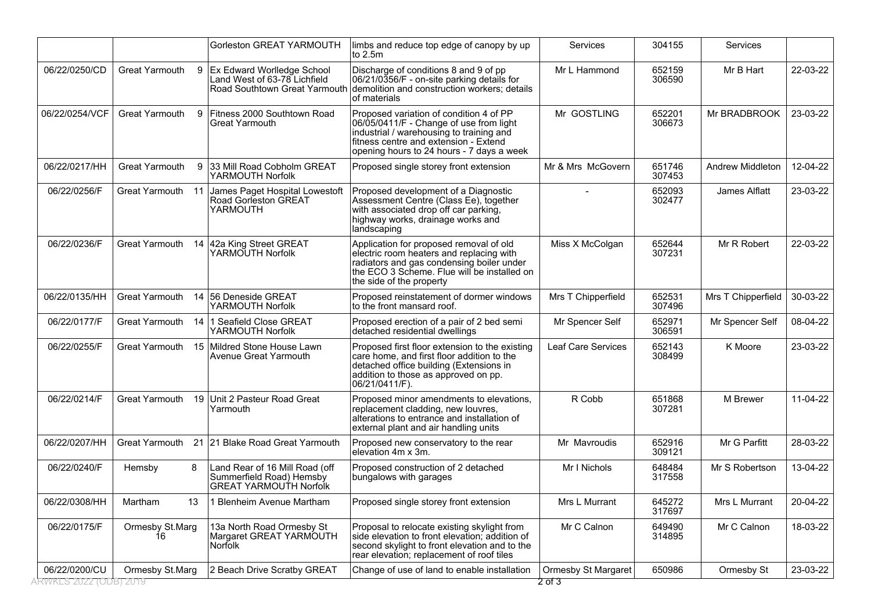|                |                       | Gorleston GREAT YARMOUTH                                                                      | limbs and reduce top edge of canopy by up<br>to 2.5m                                                                                                                                                                 | Services                   | 304155           | Services           |          |
|----------------|-----------------------|-----------------------------------------------------------------------------------------------|----------------------------------------------------------------------------------------------------------------------------------------------------------------------------------------------------------------------|----------------------------|------------------|--------------------|----------|
| 06/22/0250/CD  | Great Yarmouth        | 9 Ex Edward Worlledge School<br>Land West of 63-78 Lichfield<br>Road Southtown Great Yarmouth | Discharge of conditions 8 and 9 of pp<br>06/21/0356/F - on-site parking details for<br>demolition and construction workers; details<br>lof materials                                                                 | Mr L Hammond               | 652159<br>306590 | Mr B Hart          | 22-03-22 |
| 06/22/0254/VCF | <b>Great Yarmouth</b> | Fitness 2000 Southtown Road<br>9<br>Great Yarmouth                                            | Proposed variation of condition 4 of PP<br>06/05/0411/F - Change of use from light<br>industrial / warehousing to training and<br>fitness centre and extension - Extend<br>opening hours to 24 hours - 7 days a week | Mr GOSTLING                | 652201<br>306673 | Mr BRADBROOK       | 23-03-22 |
| 06/22/0217/HH  | Great Yarmouth        | 9<br>33 Mill Road Cobholm GREAT<br>YARMOUTH Norfolk                                           | Proposed single storey front extension                                                                                                                                                                               | Mr & Mrs McGovern          | 651746<br>307453 | Andrew Middleton   | 12-04-22 |
| 06/22/0256/F   | Great Yarmouth 11     | James Paget Hospital Lowestoft<br>Road Gorleston GREAT<br>YARMOUTH                            | Proposed development of a Diagnostic<br>Assessment Centre (Class Ee), together<br>with associated drop off car parking,<br>highway works, drainage works and<br>landscaping                                          |                            | 652093<br>302477 | James Alflatt      | 23-03-22 |
| 06/22/0236/F   | <b>Great Yarmouth</b> | 14 42a King Street GREAT<br>YARMOUTH Norfolk                                                  | Application for proposed removal of old<br>electric room heaters and replacing with<br>radiators and gas condensing boiler under<br>the ECO 3 Scheme. Flue will be installed on<br>the side of the property          | Miss X McColgan            | 652644<br>307231 | Mr R Robert        | 22-03-22 |
| 06/22/0135/HH  | Great Yarmouth        | 14 56 Deneside GREAT<br>YARMOUTH Norfolk                                                      | Proposed reinstatement of dormer windows<br>to the front mansard roof.                                                                                                                                               | Mrs T Chipperfield         | 652531<br>307496 | Mrs T Chipperfield | 30-03-22 |
| 06/22/0177/F   | Great Yarmouth<br>14  | 1 Seafield Close GREAT<br>YARMOUTH Norfolk                                                    | Proposed erection of a pair of 2 bed semi<br>detached residential dwellings                                                                                                                                          | Mr Spencer Self            | 652971<br>306591 | Mr Spencer Self    | 08-04-22 |
| 06/22/0255/F   | Great Yarmouth<br>15  | Mildred Stone House Lawn<br>Avenue Great Yarmouth                                             | Proposed first floor extension to the existing<br>care home, and first floor addition to the<br>detached office building (Extensions in<br>addition to those as approved on pp.<br>06/21/0411/F).                    | Leaf Care Services         | 652143<br>308499 | K Moore            | 23-03-22 |
| 06/22/0214/F   | Great Yarmouth<br>19  | Unit 2 Pasteur Road Great<br>Yarmouth                                                         | Proposed minor amendments to elevations,<br>replacement cladding, new louvres,<br>alterations to entrance and installation of<br>external plant and air handling units                                               | R Cobb                     | 651868<br>307281 | M Brewer           | 11-04-22 |
| 06/22/0207/HH  | Great Yarmouth        | 21 21 Blake Road Great Yarmouth                                                               | Proposed new conservatory to the rear<br>lelevation 4m x 3m.                                                                                                                                                         | Mr Mavroudis               | 652916<br>309121 | Mr G Parfitt       | 28-03-22 |
| 06/22/0240/F   | 8<br>Hemsby           | Land Rear of 16 Mill Road (off<br>Summerfield Road) Hemsby<br><b>GREAT YARMOUTH Norfolk</b>   | Proposed construction of 2 detached<br>bungalows with garages                                                                                                                                                        | Mr I Nichols               | 648484<br>317558 | Mr S Robertson     | 13-04-22 |
| 06/22/0308/HH  | Martham<br>13         | 1 Blenheim Avenue Martham                                                                     | Proposed single storey front extension                                                                                                                                                                               | Mrs L Murrant              | 645272<br>317697 | Mrs L Murrant      | 20-04-22 |
| 06/22/0175/F   | Ormesby St.Marg<br>16 | 13a North Road Ormesby St<br>Margaret GREAT YARMOUTH<br>Norfolk                               | Proposal to relocate existing skylight from<br>side elevation to front elevation; addition of<br>second skylight to front elevation and to the<br>rear elevation; replacement of roof tiles                          | Mr C Calnon                | 649490<br>314895 | Mr C Calnon        | 18-03-22 |
| 06/22/0200/CU  | Ormesby St.Marg       | 2 Beach Drive Scratby GREAT                                                                   | Change of use of land to enable installation                                                                                                                                                                         | <b>Ormesby St Margaret</b> | 650986           | Ormesby St         | 23-03-22 |